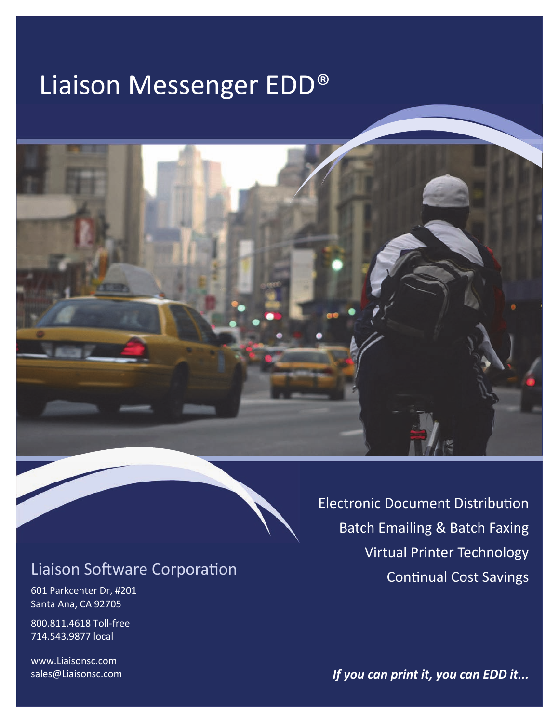# Liaison Messenger EDD®



# **Liaison Software Corporation**

601 Parkcenter Dr, #201 Santa Ana, CA 92705

800.811.4618 Toll-free 714.543.9877 local

www.Liaisonsc.com sales@Liaisonsc.com **Electronic Document Distribution Batch Emailing & Batch Faxing Virtual Printer Technology Continual Cost Savings** 

If you can print it, you can EDD it...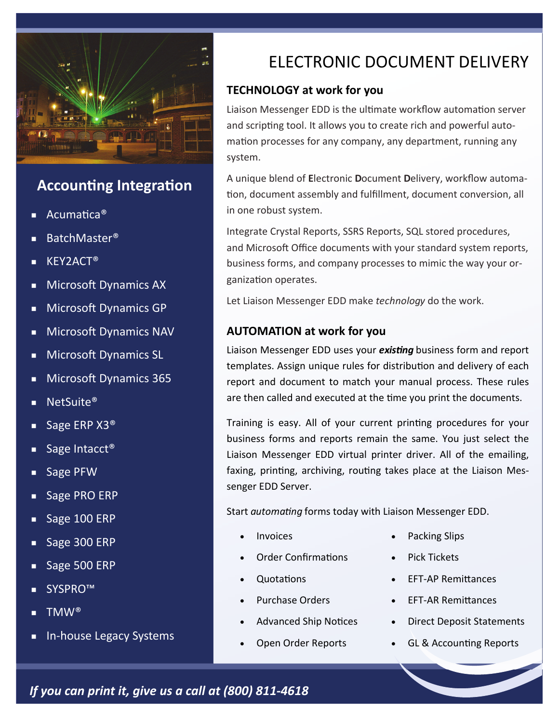

## **Accounting Integration**

- Acumatica<sup>®</sup>
- BatchMaster®
- KEY2ACT®
- **Microsoft Dynamics AX**
- Microsoft Dynamics GP
- **Microsoft Dynamics NAV**
- **Microsoft Dynamics SL**
- **Microsoft Dynamics 365**
- NetSuite®
- Sage ERP  $X3^{\circledcirc}$
- Sage Intacct<sup>®</sup>
- Sage PFW
- Sage PRO ERP
- Sage 100 ERP
- Sage 300 ERP
- Sage 500 ERP
- SYSPRO™
- TMW<sup>®</sup>
- In-house Legacy Systems

# ELECTRONIC DOCUMENT DELIVERY

#### **TECHNOLOGY at work for you**

Liaison Messenger EDD is the ultimate workflow automation server and scripting tool. It allows you to create rich and powerful automation processes for any company, any department, running any system.

A unique blend of **E**lectronic **D**ocument **D**elivery, workflow automa‐ tion, document assembly and fulfillment, document conversion, all in one robust system.

Integrate Crystal Reports, SSRS Reports, SQL stored procedures, and Microsoft Office documents with your standard system reports, business forms, and company processes to mimic the way your or‐ ganization operates.

Let Liaison Messenger EDD make *technology* do the work.

#### **AUTOMATION at work for you**

Liaison Messenger EDD uses your *existing* business form and report templates. Assign unique rules for distribution and delivery of each report and document to match your manual process. These rules are then called and executed at the time you print the documents.

Training is easy. All of your current printing procedures for your business forms and reports remain the same. You just select the Liaison Messenger EDD virtual printer driver. All of the emailing, faxing, printing, archiving, routing takes place at the Liaison Messenger EDD Server.

Start *automating* forms today with Liaison Messenger EDD.

- Invoices
- Order Confirmations
- **Quotations**
- Purchase Orders
- Advanced Ship Notices
- Open Order Reports
- Packing Slips
- Pick Tickets
- EFT‐AP RemiƩances
- EFT‐AR RemiƩances
- Direct Deposit Statements
- GL & Accounting Reports

*If you can print it, give us a call at (800) 811‐4618*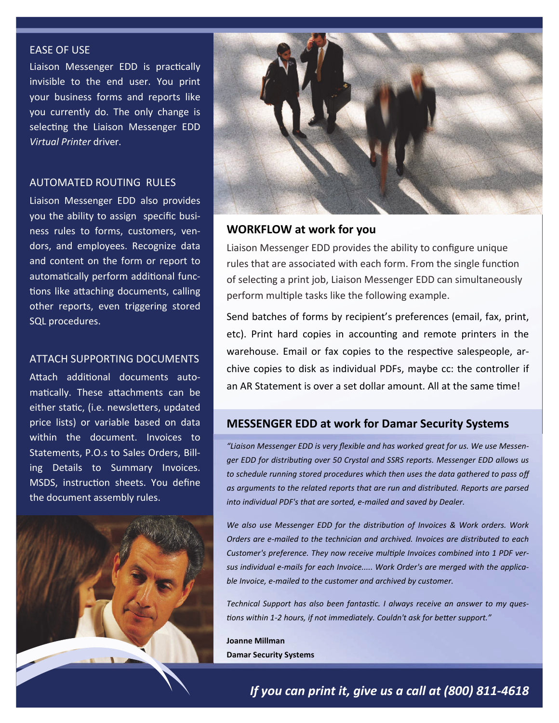#### EASE OF USE

Liaison Messenger EDD is practically invisible to the end user. You print your business forms and reports like you currently do. The only change is selecting the Liaison Messenger EDD *Virtual Printer* driver.

#### AUTOMATED ROUTING RULES

Liaison Messenger EDD also provides you the ability to assign specific busi‐ ness rules to forms, customers, ven‐ dors, and employees. Recognize data and content on the form or report to automatically perform additional functions like attaching documents, calling other reports, even triggering stored SQL procedures.

#### ATTACH SUPPORTING DOCUMENTS

Attach additional documents automatically. These attachments can be either static, (i.e. newsletters, updated price lists) or variable based on data within the document. Invoices to Statements, P.O.s to Sales Orders, Bill‐ ing Details to Summary Invoices. MSDS, instruction sheets. You define the document assembly rules.





#### **WORKFLOW at work for you**

Liaison Messenger EDD provides the ability to configure unique rules that are associated with each form. From the single function of selecting a print job, Liaison Messenger EDD can simultaneously perform multiple tasks like the following example.

Send batches of forms by recipient's preferences (email, fax, print, etc). Print hard copies in accounting and remote printers in the warehouse. Email or fax copies to the respective salespeople, archive copies to disk as individual PDFs, maybe cc: the controller if an AR Statement is over a set dollar amount. All at the same time!

#### **MESSENGER EDD at work for Damar Security Systems**

*"Liaison Messenger EDD is very flexible and has worked great for us. We use Messenger EDD for distribuƟng over 50 Crystal and SSRS reports. Messenger EDD allows us to schedule running stored procedures which then uses the data gathered to pass off as arguments to the related reports that are run and distributed. Reports are parsed into individual PDF's that are sorted, e-mailed and saved by Dealer.* 

*We also use Messenger EDD for the distribuƟon of Invoices & Work orders. Work Orders are e-mailed to the technician and archived. Invoices are distributed to each*  Customer's preference. They now receive multiple Invoices combined into 1 PDF ver*sus individual e-mails for each Invoice..... Work Order's are merged with the applicable Invoice, e-mailed to the customer and archived by customer.* 

*Technical Support has also been fantasƟc. I always receive an answer to my ques-Ɵons within 1-2 hours, if not immediately. Couldn't ask for beƩer support."* 

**Joanne Millman Damar Security Systems**

*If you can print it, give us a call at (800) 811‐4618*